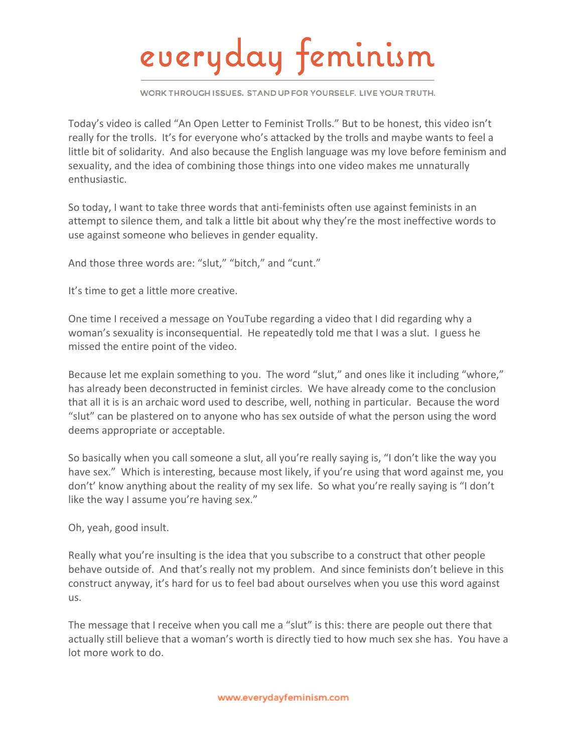## everyday feminism

WORK THROUGH ISSUES. STAND UP FOR YOURSELF. LIVE YOUR TRUTH.

Today's video is called "An Open Letter to Feminist Trolls." But to be honest, this video isn't really for the trolls. It's for everyone who's attacked by the trolls and maybe wants to feel a little bit of solidarity. And also because the English language was my love before feminism and sexuality, and the idea of combining those things into one video makes me unnaturally enthusiastic.

So today, I want to take three words that anti-feminists often use against feminists in an attempt to silence them, and talk a little bit about why they're the most ineffective words to use against someone who believes in gender equality.

And those three words are: "slut." "bitch." and "cunt."

It's time to get a little more creative.

One time I received a message on YouTube regarding a video that I did regarding why a woman's sexuality is inconsequential. He repeatedly told me that I was a slut. I guess he missed the entire point of the video.

Because let me explain something to you. The word "slut," and ones like it including "whore," has already been deconstructed in feminist circles. We have already come to the conclusion that all it is is an archaic word used to describe, well, nothing in particular. Because the word "slut" can be plastered on to anyone who has sex outside of what the person using the word deems appropriate or acceptable.

So basically when you call someone a slut, all you're really saying is, "I don't like the way you have sex." Which is interesting, because most likely, if you're using that word against me, you don't' know anything about the reality of my sex life. So what you're really saying is "I don't like the way I assume you're having sex."

Oh, yeah, good insult.

Really what you're insulting is the idea that you subscribe to a construct that other people behave outside of. And that's really not my problem. And since feminists don't believe in this construct anyway, it's hard for us to feel bad about ourselves when you use this word against us.

The message that I receive when you call me a "slut" is this: there are people out there that actually still believe that a woman's worth is directly tied to how much sex she has. You have a lot more work to do.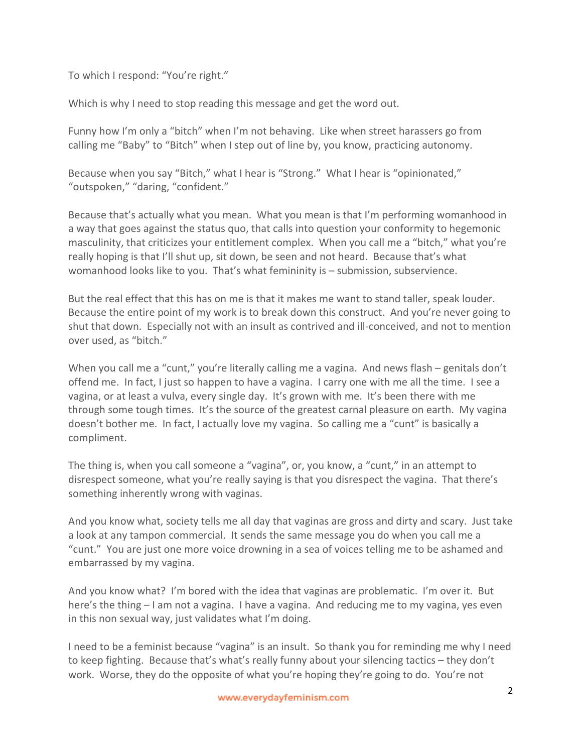To which I respond: "You're right."

Which is why I need to stop reading this message and get the word out.

Funny how I'm only a "bitch" when I'm not behaving. Like when street harassers go from calling me "Baby" to "Bitch" when I step out of line by, you know, practicing autonomy.

Because when you say "Bitch," what I hear is "Strong." What I hear is "opinionated," "outspoken," "daring, "confident."

Because that's actually what you mean. What you mean is that I'm performing womanhood in a way that goes against the status quo, that calls into question your conformity to hegemonic masculinity, that criticizes your entitlement complex. When you call me a "bitch," what you're really hoping is that I'll shut up, sit down, be seen and not heard. Because that's what womanhood looks like to you. That's what femininity is – submission, subservience.

But the real effect that this has on me is that it makes me want to stand taller, speak louder. Because the entire point of my work is to break down this construct. And you're never going to shut that down. Especially not with an insult as contrived and ill-conceived, and not to mention over used, as "bitch."

When you call me a "cunt," you're literally calling me a vagina. And news flash – genitals don't offend me. In fact, I just so happen to have a vagina. I carry one with me all the time. I see a vagina, or at least a vulva, every single day. It's grown with me. It's been there with me through some tough times. It's the source of the greatest carnal pleasure on earth. My vagina doesn't bother me. In fact, I actually love my vagina. So calling me a "cunt" is basically a compliment.

The thing is, when you call someone a "vagina", or, you know, a "cunt," in an attempt to disrespect someone, what you're really saying is that you disrespect the vagina. That there's something inherently wrong with vaginas.

And you know what, society tells me all day that vaginas are gross and dirty and scary. Just take a look at any tampon commercial. It sends the same message you do when you call me a "cunt." You are just one more voice drowning in a sea of voices telling me to be ashamed and embarrassed by my vagina.

And you know what? I'm bored with the idea that vaginas are problematic. I'm over it. But here's the thing – I am not a vagina. I have a vagina. And reducing me to my vagina, yes even in this non sexual way, just validates what I'm doing.

I need to be a feminist because "vagina" is an insult. So thank you for reminding me why I need to keep fighting. Because that's what's really funny about your silencing tactics – they don't work. Worse, they do the opposite of what you're hoping they're going to do. You're not